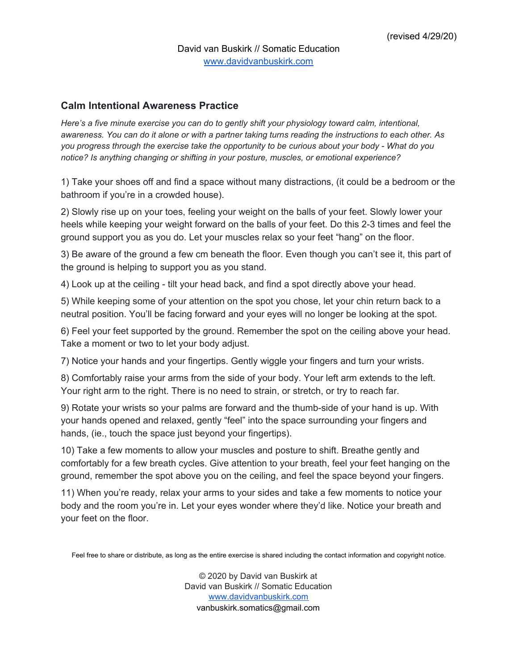## **Calm Intentional Awareness Practice**

*Here's a five minute exercise you can do to gently shift your physiology toward calm, intentional,* awareness. You can do it alone or with a partner taking turns reading the instructions to each other. As *you progress through the exercise take the opportunity to be curious about your body - What do you notice? Is anything changing or shifting in your posture, muscles, or emotional experience?*

1) Take your shoes off and find a space without many distractions, (it could be a bedroom or the bathroom if you're in a crowded house).

2) Slowly rise up on your toes, feeling your weight on the balls of your feet. Slowly lower your heels while keeping your weight forward on the balls of your feet. Do this 2-3 times and feel the ground support you as you do. Let your muscles relax so your feet "hang" on the floor.

3) Be aware of the ground a few cm beneath the floor. Even though you can't see it, this part of the ground is helping to support you as you stand.

4) Look up at the ceiling - tilt your head back, and find a spot directly above your head.

5) While keeping some of your attention on the spot you chose, let your chin return back to a neutral position. You'll be facing forward and your eyes will no longer be looking at the spot.

6) Feel your feet supported by the ground. Remember the spot on the ceiling above your head. Take a moment or two to let your body adjust.

7) Notice your hands and your fingertips. Gently wiggle your fingers and turn your wrists.

8) Comfortably raise your arms from the side of your body. Your left arm extends to the left. Your right arm to the right. There is no need to strain, or stretch, or try to reach far.

9) Rotate your wrists so your palms are forward and the thumb-side of your hand is up. With your hands opened and relaxed, gently "feel" into the space surrounding your fingers and hands, (ie., touch the space just beyond your fingertips).

10) Take a few moments to allow your muscles and posture to shift. Breathe gently and comfortably for a few breath cycles. Give attention to your breath, feel your feet hanging on the ground, remember the spot above you on the ceiling, and feel the space beyond your fingers.

11) When you're ready, relax your arms to your sides and take a few moments to notice your body and the room you're in. Let your eyes wonder where they'd like. Notice your breath and your feet on the floor.

Feel free to share or distribute, as long as the entire exercise is shared including the contact information and copyright notice.

© 2020 by David van Buskirk at David van Buskirk // Somatic Education [www.davidvanbuskirk.com](http://www.davidvanbuskirk.com/) vanbuskirk.somatics@gmail.com